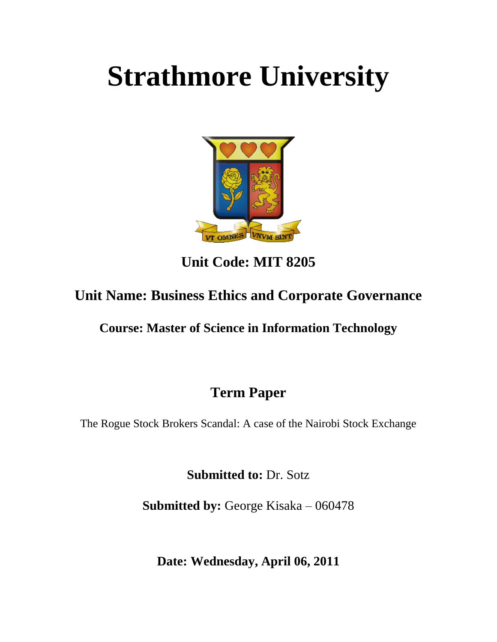# **Strathmore University**



**Unit Code: MIT 8205**

# **Unit Name: Business Ethics and Corporate Governance**

**Course: Master of Science in Information Technology**

# **Term Paper**

The Rogue Stock Brokers Scandal: A case of the Nairobi Stock Exchange

**Submitted to:** Dr. Sotz

**Submitted by:** George Kisaka – 060478

**Date: Wednesday, April 06, 2011**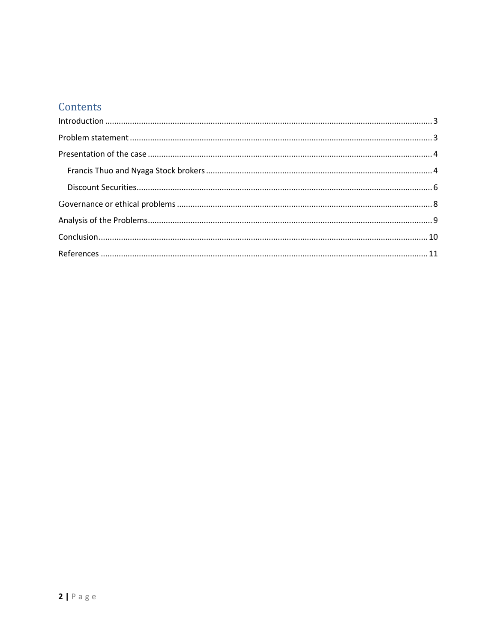# Contents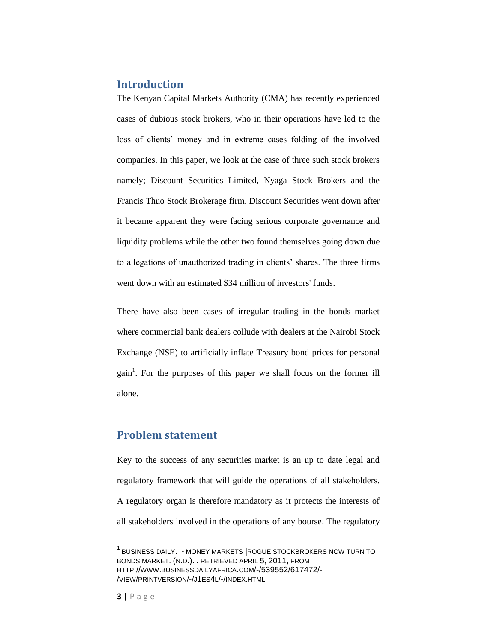## <span id="page-2-0"></span>**Introduction**

The Kenyan Capital Markets Authority (CMA) has recently experienced cases of dubious stock brokers, who in their operations have led to the loss of clients' money and in extreme cases folding of the involved companies. In this paper, we look at the case of three such stock brokers namely; Discount Securities Limited, Nyaga Stock Brokers and the Francis Thuo Stock Brokerage firm. Discount Securities went down after it became apparent they were facing serious corporate governance and liquidity problems while the other two found themselves going down due to allegations of unauthorized trading in clients' shares. The three firms went down with an estimated \$34 million of investors' funds.

There have also been cases of irregular trading in the bonds market where commercial bank dealers collude with dealers at the Nairobi Stock Exchange (NSE) to artificially inflate Treasury bond prices for personal gain<sup>1</sup>. For the purposes of this paper we shall focus on the former ill alone.

## <span id="page-2-1"></span>**Problem statement**

Key to the success of any securities market is an up to date legal and regulatory framework that will guide the operations of all stakeholders. A regulatory organ is therefore mandatory as it protects the interests of all stakeholders involved in the operations of any bourse. The regulatory

 $\overline{\phantom{a}}$ 

<sup>&</sup>lt;sup>1</sup> BUSINESS DAILY: - MONEY MARKETS ROGUE STOCKBROKERS NOW TURN TO BONDS MARKET. (N.D.). . RETRIEVED APRIL 5, 2011, FROM HTTP://WWW.BUSINESSDAILYAFRICA.COM/-/539552/617472/- /VIEW/PRINTVERSION/-/J1ES4L/-/INDEX.HTML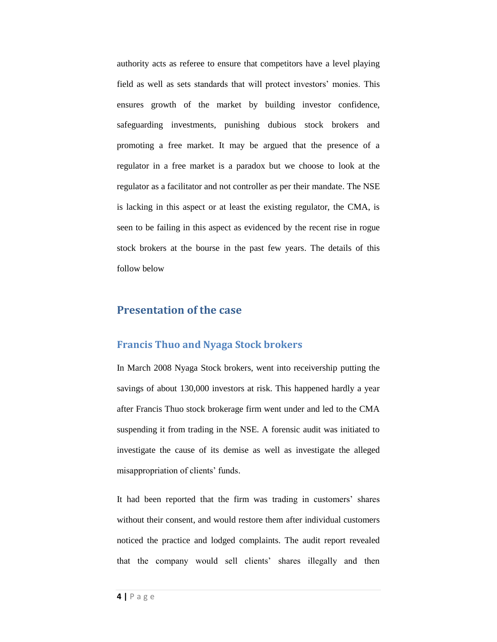authority acts as referee to ensure that competitors have a level playing field as well as sets standards that will protect investors' monies. This ensures growth of the market by building investor confidence, safeguarding investments, punishing dubious stock brokers and promoting a free market. It may be argued that the presence of a regulator in a free market is a paradox but we choose to look at the regulator as a facilitator and not controller as per their mandate. The NSE is lacking in this aspect or at least the existing regulator, the CMA, is seen to be failing in this aspect as evidenced by the recent rise in rogue stock brokers at the bourse in the past few years. The details of this follow below

#### <span id="page-3-0"></span>**Presentation of the case**

#### <span id="page-3-1"></span>**Francis Thuo and Nyaga Stock brokers**

In March 2008 Nyaga Stock brokers, went into receivership putting the savings of about 130,000 investors at risk. This happened hardly a year after Francis Thuo stock brokerage firm went under and led to the CMA suspending it from trading in the NSE. A forensic audit was initiated to investigate the cause of its demise as well as investigate the alleged misappropriation of clients' funds.

It had been reported that the firm was trading in customers' shares without their consent, and would restore them after individual customers noticed the practice and lodged complaints. The audit report revealed that the company would sell clients' shares illegally and then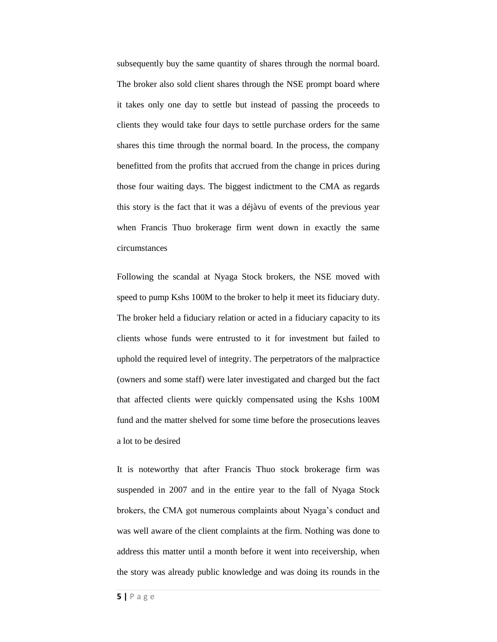subsequently buy the same quantity of shares through the normal board. The broker also sold client shares through the NSE prompt board where it takes only one day to settle but instead of passing the proceeds to clients they would take four days to settle purchase orders for the same shares this time through the normal board. In the process, the company benefitted from the profits that accrued from the change in prices during those four waiting days. The biggest indictment to the CMA as regards this story is the fact that it was a déjàvu of events of the previous year when Francis Thuo brokerage firm went down in exactly the same circumstances

Following the scandal at Nyaga Stock brokers, the NSE moved with speed to pump Kshs 100M to the broker to help it meet its fiduciary duty. The broker held a fiduciary relation or acted in a fiduciary capacity to its clients whose funds were entrusted to it for investment but failed to uphold the required level of integrity. The perpetrators of the malpractice (owners and some staff) were later investigated and charged but the fact that affected clients were quickly compensated using the Kshs 100M fund and the matter shelved for some time before the prosecutions leaves a lot to be desired

It is noteworthy that after Francis Thuo stock brokerage firm was suspended in 2007 and in the entire year to the fall of Nyaga Stock brokers, the CMA got numerous complaints about Nyaga's conduct and was well aware of the client complaints at the firm. Nothing was done to address this matter until a month before it went into receivership, when the story was already public knowledge and was doing its rounds in the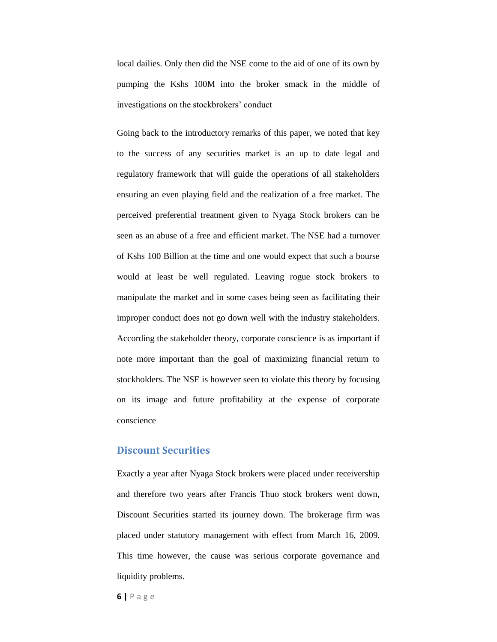local dailies. Only then did the NSE come to the aid of one of its own by pumping the Kshs 100M into the broker smack in the middle of investigations on the stockbrokers' conduct

Going back to the introductory remarks of this paper, we noted that key to the success of any securities market is an up to date legal and regulatory framework that will guide the operations of all stakeholders ensuring an even playing field and the realization of a free market. The perceived preferential treatment given to Nyaga Stock brokers can be seen as an abuse of a free and efficient market. The NSE had a turnover of Kshs 100 Billion at the time and one would expect that such a bourse would at least be well regulated. Leaving rogue stock brokers to manipulate the market and in some cases being seen as facilitating their improper conduct does not go down well with the industry stakeholders. According the stakeholder theory, corporate conscience is as important if note more important than the goal of maximizing financial return to stockholders. The NSE is however seen to violate this theory by focusing on its image and future profitability at the expense of corporate conscience

#### <span id="page-5-0"></span>**Discount Securities**

Exactly a year after Nyaga Stock brokers were placed under receivership and therefore two years after Francis Thuo stock brokers went down, Discount Securities started its journey down. The brokerage firm was placed under statutory management with effect from March 16, 2009. This time however, the cause was serious corporate governance and liquidity problems.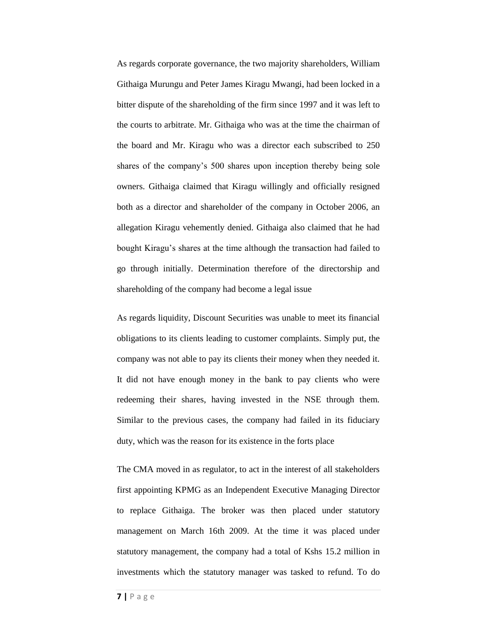As regards corporate governance, the two majority shareholders, William Githaiga Murungu and Peter James Kiragu Mwangi, had been locked in a bitter dispute of the shareholding of the firm since 1997 and it was left to the courts to arbitrate. Mr. Githaiga who was at the time the chairman of the board and Mr. Kiragu who was a director each subscribed to 250 shares of the company's 500 shares upon inception thereby being sole owners. Githaiga claimed that Kiragu willingly and officially resigned both as a director and shareholder of the company in October 2006, an allegation Kiragu vehemently denied. Githaiga also claimed that he had bought Kiragu's shares at the time although the transaction had failed to go through initially. Determination therefore of the directorship and shareholding of the company had become a legal issue

As regards liquidity, Discount Securities was unable to meet its financial obligations to its clients leading to customer complaints. Simply put, the company was not able to pay its clients their money when they needed it. It did not have enough money in the bank to pay clients who were redeeming their shares, having invested in the NSE through them. Similar to the previous cases, the company had failed in its fiduciary duty, which was the reason for its existence in the forts place

The CMA moved in as regulator, to act in the interest of all stakeholders first appointing KPMG as an Independent Executive Managing Director to replace Githaiga. The broker was then placed under statutory management on March 16th 2009. At the time it was placed under statutory management, the company had a total of Kshs 15.2 million in investments which the statutory manager was tasked to refund. To do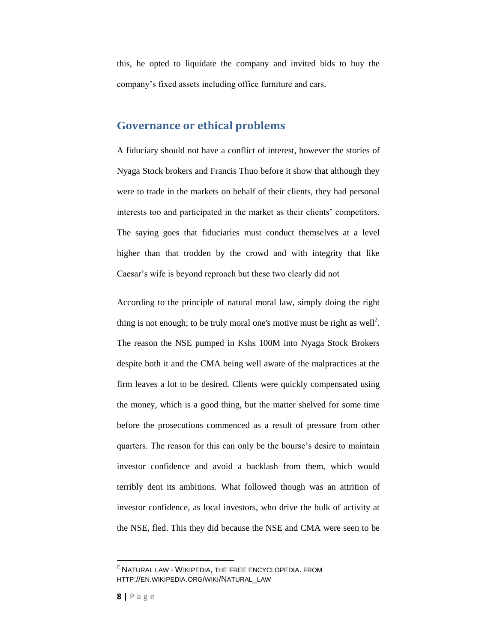this, he opted to liquidate the company and invited bids to buy the company's fixed assets including office furniture and cars.

#### <span id="page-7-0"></span>**Governance or ethical problems**

A fiduciary should not have a conflict of interest, however the stories of Nyaga Stock brokers and Francis Thuo before it show that although they were to trade in the markets on behalf of their clients, they had personal interests too and participated in the market as their clients' competitors. The saying goes that fiduciaries must conduct themselves at a level higher than that trodden by the crowd and with integrity that like Caesar's wife is beyond reproach but these two clearly did not

According to the principle of natural moral law, simply doing the right thing is not enough; to be truly moral one's motive must be right as well<sup>2</sup>. The reason the NSE pumped in Kshs 100M into Nyaga Stock Brokers despite both it and the CMA being well aware of the malpractices at the firm leaves a lot to be desired. Clients were quickly compensated using the money, which is a good thing, but the matter shelved for some time before the prosecutions commenced as a result of pressure from other quarters. The reason for this can only be the bourse's desire to maintain investor confidence and avoid a backlash from them, which would terribly dent its ambitions. What followed though was an attrition of investor confidence, as local investors, who drive the bulk of activity at the NSE, fled. This they did because the NSE and CMA were seen to be

 $\overline{\phantom{a}}$ 

 $^{\rm 2}$  Natural law - Wikipedia, the free encyclopedia. From HTTP://EN.WIKIPEDIA.ORG/WIKI/NATURAL\_LAW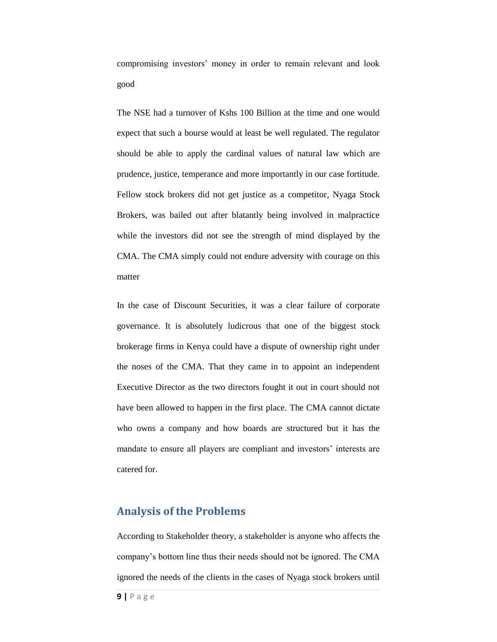compromising investors' money in order to remain relevant and look good

The NSE had a turnover of Kshs 100 Billion at the time and one would expect that such a bourse would at least be well regulated. The regulator should be able to apply the cardinal values of natural law which are prudence, justice, temperance and more importantly in our case fortitude. Fellow stock brokers did not get justice as a competitor, Nyaga Stock Brokers, was bailed out after blatantly being involved in malpractice while the investors did not see the strength of mind displayed by the CMA. The CMA simply could not endure adversity with courage on this matter

In the case of Discount Securities, it was a clear failure of corporate governance. It is absolutely ludicrous that one of the biggest stock brokerage firms in Kenya could have a dispute of ownership right under the noses of the CMA. That they came in to appoint an independent Executive Director as the two directors fought it out in court should not have been allowed to happen in the first place. The CMA cannot dictate who owns a company and how boards are structured but it has the mandate to ensure all players are compliant and investors' interests are catered for.

## <span id="page-8-0"></span>**Analysis of the Problems**

According to Stakeholder theory, a stakeholder is anyone who affects the company's bottom line thus their needs should not be ignored. The CMA ignored the needs of the clients in the cases of Nyaga stock brokers until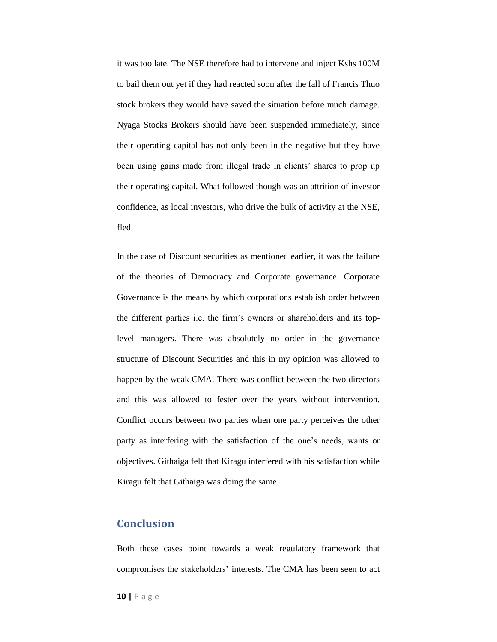it was too late. The NSE therefore had to intervene and inject Kshs 100M to bail them out yet if they had reacted soon after the fall of Francis Thuo stock brokers they would have saved the situation before much damage. Nyaga Stocks Brokers should have been suspended immediately, since their operating capital has not only been in the negative but they have been using gains made from illegal trade in clients' shares to prop up their operating capital. What followed though was an attrition of investor confidence, as local investors, who drive the bulk of activity at the NSE, fled

In the case of Discount securities as mentioned earlier, it was the failure of the theories of Democracy and Corporate governance. Corporate Governance is the means by which corporations establish order between the different parties i.e. the firm's owners or shareholders and its toplevel managers. There was absolutely no order in the governance structure of Discount Securities and this in my opinion was allowed to happen by the weak CMA. There was conflict between the two directors and this was allowed to fester over the years without intervention. Conflict occurs between two parties when one party perceives the other party as interfering with the satisfaction of the one's needs, wants or objectives. Githaiga felt that Kiragu interfered with his satisfaction while Kiragu felt that Githaiga was doing the same

## <span id="page-9-0"></span>**Conclusion**

Both these cases point towards a weak regulatory framework that compromises the stakeholders' interests. The CMA has been seen to act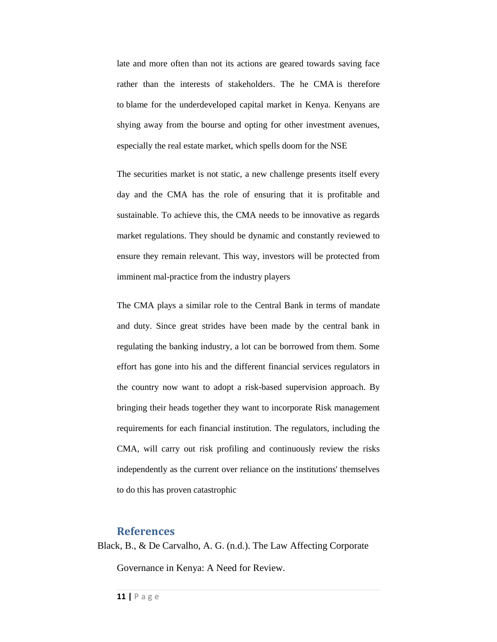late and more often than not its actions are geared towards saving face rather than the interests of stakeholders. The he CMA is therefore to blame for the underdeveloped capital market in Kenya. Kenyans are shying away from the bourse and opting for other investment avenues, especially the real estate market, which spells doom for the NSE

The securities market is not static, a new challenge presents itself every day and the CMA has the role of ensuring that it is profitable and sustainable. To achieve this, the CMA needs to be innovative as regards market regulations. They should be dynamic and constantly reviewed to ensure they remain relevant. This way, investors will be protected from imminent mal-practice from the industry players

The CMA plays a similar role to the Central Bank in terms of mandate and duty. Since great strides have been made by the central bank in regulating the banking industry, a lot can be borrowed from them. Some effort has gone into his and the different financial services regulators in the country now want to adopt a risk-based supervision approach. By bringing their heads together they want to incorporate Risk management requirements for each financial institution. The regulators, including the CMA, will carry out risk profiling and continuously review the risks independently as the current over reliance on the institutions' themselves to do this has proven catastrophic

#### <span id="page-10-0"></span>**References**

Black, B., & De Carvalho, A. G. (n.d.). The Law Affecting Corporate

Governance in Kenya: A Need for Review.